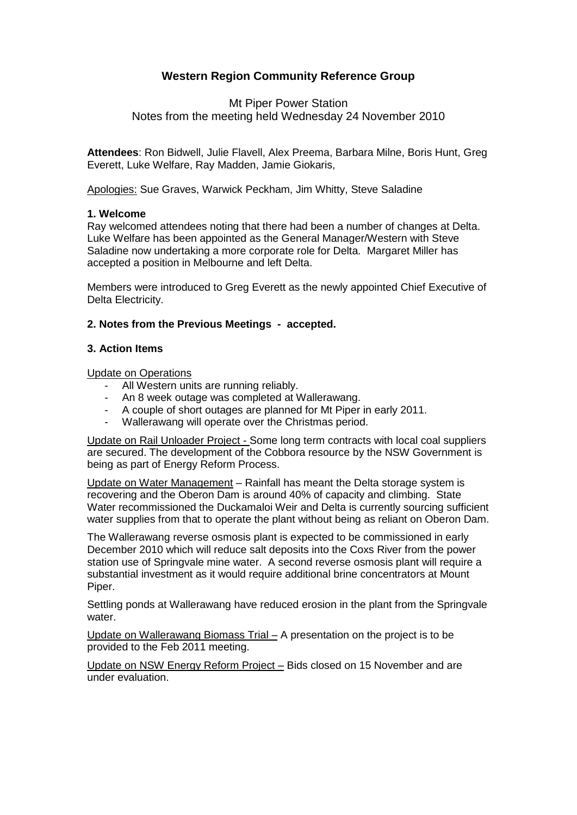# **Western Region Community Reference Group**

## Mt Piper Power Station Notes from the meeting held Wednesday 24 November 2010

**Attendees**: Ron Bidwell, Julie Flavell, Alex Preema, Barbara Milne, Boris Hunt, Greg Everett, Luke Welfare, Ray Madden, Jamie Giokaris,

Apologies: Sue Graves, Warwick Peckham, Jim Whitty, Steve Saladine

#### **1. Welcome**

Ray welcomed attendees noting that there had been a number of changes at Delta. Luke Welfare has been appointed as the General Manager/Western with Steve Saladine now undertaking a more corporate role for Delta. Margaret Miller has accepted a position in Melbourne and left Delta.

Members were introduced to Greg Everett as the newly appointed Chief Executive of Delta Electricity.

#### **2. Notes from the Previous Meetings - accepted.**

#### **3. Action Items**

Update on Operations

- All Western units are running reliably.
- An 8 week outage was completed at Wallerawang.
- A couple of short outages are planned for Mt Piper in early 2011.
- Wallerawang will operate over the Christmas period.

Update on Rail Unloader Project - Some long term contracts with local coal suppliers are secured. The development of the Cobbora resource by the NSW Government is being as part of Energy Reform Process.

Update on Water Management – Rainfall has meant the Delta storage system is recovering and the Oberon Dam is around 40% of capacity and climbing. State Water recommissioned the Duckamaloi Weir and Delta is currently sourcing sufficient water supplies from that to operate the plant without being as reliant on Oberon Dam.

The Wallerawang reverse osmosis plant is expected to be commissioned in early December 2010 which will reduce salt deposits into the Coxs River from the power station use of Springvale mine water. A second reverse osmosis plant will require a substantial investment as it would require additional brine concentrators at Mount Piper.

Settling ponds at Wallerawang have reduced erosion in the plant from the Springvale water.

Update on Wallerawang Biomass Trial – A presentation on the project is to be provided to the Feb 2011 meeting.

Update on NSW Energy Reform Project – Bids closed on 15 November and are under evaluation.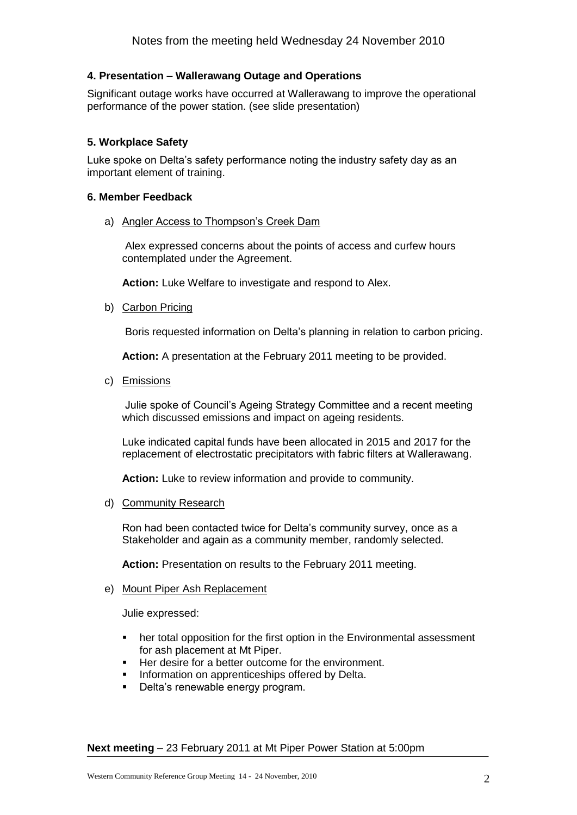## **4. Presentation – Wallerawang Outage and Operations**

Significant outage works have occurred at Wallerawang to improve the operational performance of the power station. (see slide presentation)

## **5. Workplace Safety**

Luke spoke on Delta's safety performance noting the industry safety day as an important element of training.

## **6. Member Feedback**

a) Angler Access to Thompson's Creek Dam

Alex expressed concerns about the points of access and curfew hours contemplated under the Agreement.

**Action:** Luke Welfare to investigate and respond to Alex.

b) Carbon Pricing

Boris requested information on Delta's planning in relation to carbon pricing.

**Action:** A presentation at the February 2011 meeting to be provided.

c) Emissions

Julie spoke of Council's Ageing Strategy Committee and a recent meeting which discussed emissions and impact on ageing residents.

Luke indicated capital funds have been allocated in 2015 and 2017 for the replacement of electrostatic precipitators with fabric filters at Wallerawang.

**Action:** Luke to review information and provide to community.

d) Community Research

Ron had been contacted twice for Delta's community survey, once as a Stakeholder and again as a community member, randomly selected.

**Action:** Presentation on results to the February 2011 meeting.

#### e) Mount Piper Ash Replacement

Julie expressed:

- her total opposition for the first option in the Environmental assessment for ash placement at Mt Piper.
- Her desire for a better outcome for the environment.
- **Information on apprenticeships offered by Delta.**
- Delta's renewable energy program.

**Next meeting** – 23 February 2011 at Mt Piper Power Station at 5:00pm